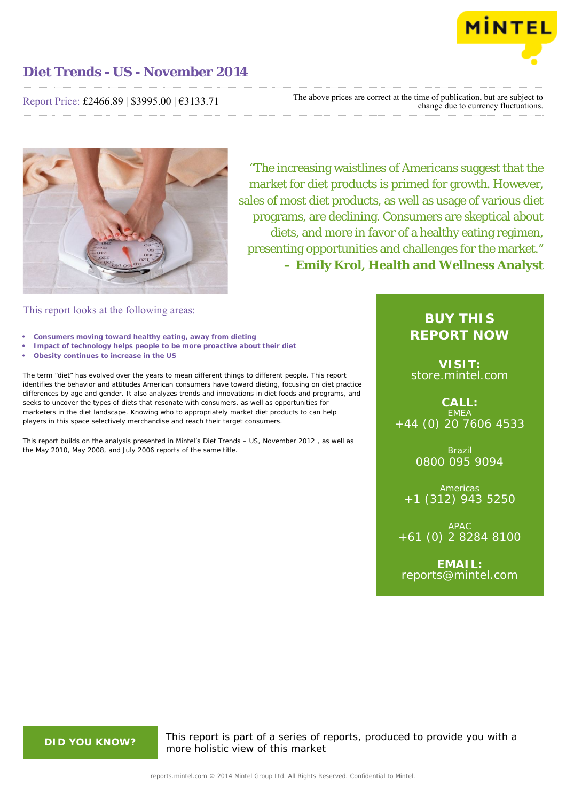

## **Diet Trends - US - November 2014**

#### Report Price: £2466.89 | \$3995.00 | €3133.71

The above prices are correct at the time of publication, but are subject to change due to currency fluctuations.



"The increasing waistlines of Americans suggest that the market for diet products is primed for growth. However, sales of most diet products, as well as usage of various diet programs, are declining. Consumers are skeptical about diets, and more in favor of a healthy eating regimen, presenting opportunities and challenges for the market." **– Emily Krol, Health and Wellness Analyst**

#### This report looks at the following areas:

- **• Consumers moving toward healthy eating, away from dieting**
- **• Impact of technology helps people to be more proactive about their diet**
- **• Obesity continues to increase in the US**

The term "diet" has evolved over the years to mean different things to different people. This report identifies the behavior and attitudes American consumers have toward dieting, focusing on diet practice differences by age and gender. It also analyzes trends and innovations in diet foods and programs, and seeks to uncover the types of diets that resonate with consumers, as well as opportunities for marketers in the diet landscape. Knowing who to appropriately market diet products to can help players in this space selectively merchandise and reach their target consumers.

This report builds on the analysis presented in Mintel's *Diet Trends – US, November 2012* , as well as the May 2010, May 2008, and July 2006 reports of the same title.

### **BUY THIS REPORT NOW**

**VISIT:** [store.mintel.com](http://reports.mintel.com//display/store/679821/)

**CALL: EMEA** +44 (0) 20 7606 4533

> Brazil 0800 095 9094

**Americas** +1 (312) 943 5250

APAC +61 (0) 2 8284 8100

**EMAIL:** [reports@mintel.com](mailto:reports@mintel.com)

**DID YOU KNOW?** This report is part of a series of reports, produced to provide you with a more holistic view of this market